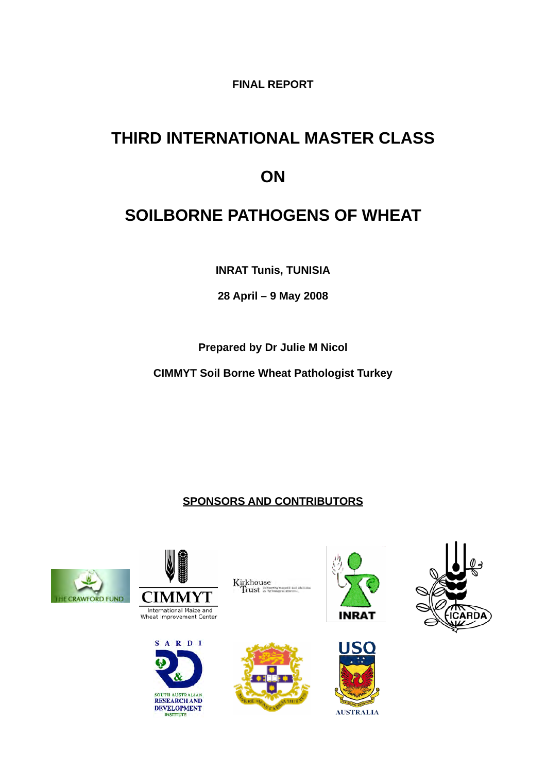# **FINAL REPORT**

# **THIRD INTERNATIONAL MASTER CLASS ON**

# **SOILBORNE PATHOGENS OF WHEAT**

**INRAT Tunis, TUNISIA**

**28 April – 9 May 2008**

**Prepared by Dr Julie M Nicol**

**CIMMYT Soil Borne Wheat Pathologist Turkey**

# **SPONSORS AND CONTRIBUTORS**









Kirkhouse<br>Trust







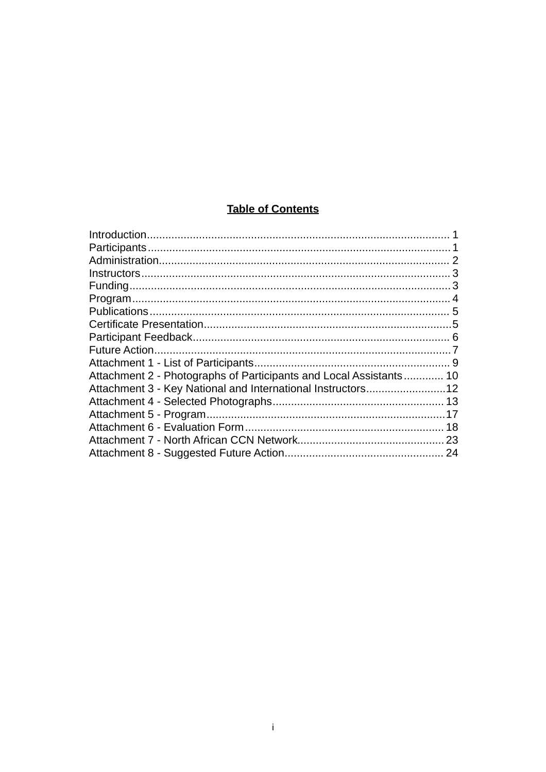# **Table of Contents**

| Attachment 2 - Photographs of Participants and Local Assistants 10 |  |
|--------------------------------------------------------------------|--|
|                                                                    |  |
|                                                                    |  |
|                                                                    |  |
|                                                                    |  |
|                                                                    |  |
|                                                                    |  |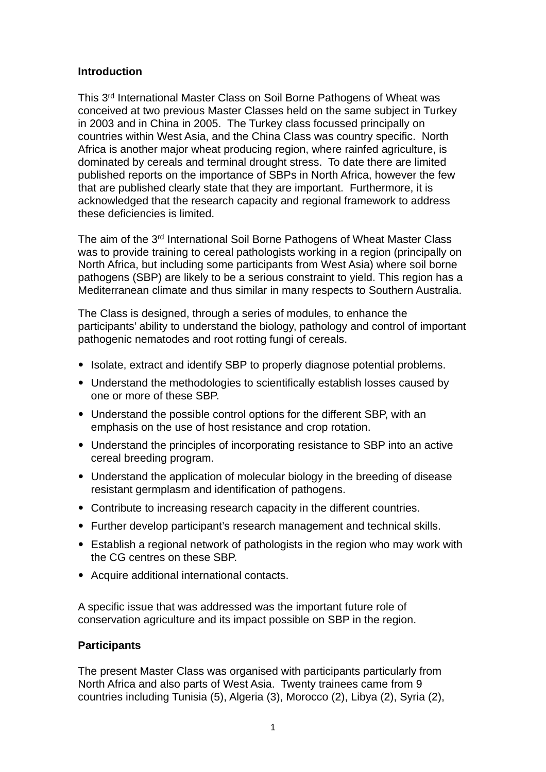#### <span id="page-2-0"></span>**Introduction**

This 3rd International Master Class on Soil Borne Pathogens of Wheat was conceived at two previous Master Classes held on the same subject in Turkey in 2003 and in China in 2005. The Turkey class focussed principally on countries within West Asia, and the China Class was country specific. North Africa is another major wheat producing region, where rainfed agriculture, is dominated by cereals and terminal drought stress. To date there are limited published reports on the importance of SBPs in North Africa, however the few that are published clearly state that they are important. Furthermore, it is acknowledged that the research capacity and regional framework to address these deficiencies is limited.

The aim of the 3rd International Soil Borne Pathogens of Wheat Master Class was to provide training to cereal pathologists working in a region (principally on North Africa, but including some participants from West Asia) where soil borne pathogens (SBP) are likely to be a serious constraint to yield. This region has a Mediterranean climate and thus similar in many respects to Southern Australia.

The Class is designed, through a series of modules, to enhance the participants' ability to understand the biology, pathology and control of important pathogenic nematodes and root rotting fungi of cereals.

- Isolate, extract and identify SBP to properly diagnose potential problems.
- Understand the methodologies to scientifically establish losses caused by one or more of these SBP.
- Understand the possible control options for the different SBP, with an emphasis on the use of host resistance and crop rotation.
- Understand the principles of incorporating resistance to SBP into an active cereal breeding program.
- Understand the application of molecular biology in the breeding of disease resistant germplasm and identification of pathogens.
- Contribute to increasing research capacity in the different countries.
- Further develop participant's research management and technical skills.
- Establish a regional network of pathologists in the region who may work with the CG centres on these SBP.
- Acquire additional international contacts.

A specific issue that was addressed was the important future role of conservation agriculture and its impact possible on SBP in the region.

#### <span id="page-2-1"></span>**Participants**

The present Master Class was organised with participants particularly from North Africa and also parts of West Asia. Twenty trainees came from 9 countries including Tunisia (5), Algeria (3), Morocco (2), Libya (2), Syria (2),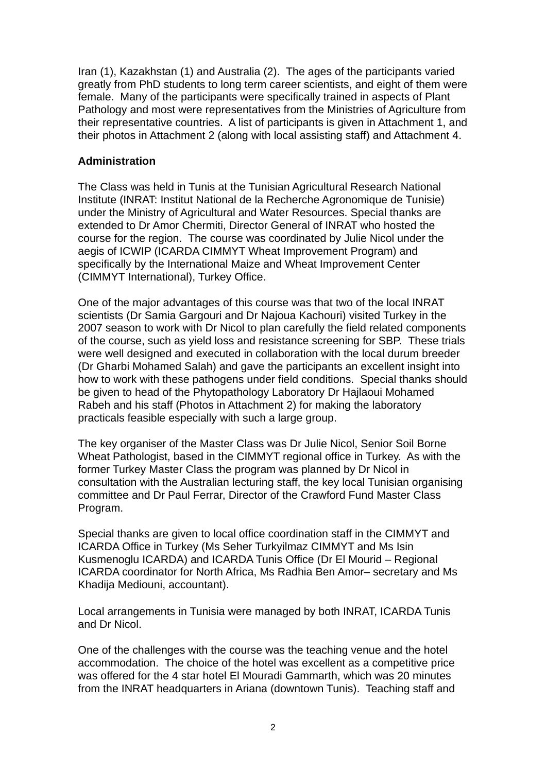Iran (1), Kazakhstan (1) and Australia (2). The ages of the participants varied greatly from PhD students to long term career scientists, and eight of them were female. Many of the participants were specifically trained in aspects of Plant Pathology and most were representatives from the Ministries of Agriculture from their representative countries. A list of participants is given in Attachment 1, and their photos in Attachment 2 (along with local assisting staff) and Attachment 4.

#### <span id="page-3-0"></span>**Administration**

The Class was held in Tunis at the Tunisian Agricultural Research National Institute (INRAT: Institut National de la Recherche Agronomique de Tunisie) under the Ministry of Agricultural and Water Resources. Special thanks are extended to Dr Amor Chermiti, Director General of INRAT who hosted the course for the region. The course was coordinated by Julie Nicol under the aegis of ICWIP (ICARDA CIMMYT Wheat Improvement Program) and specifically by the International Maize and Wheat Improvement Center (CIMMYT International), Turkey Office.

One of the major advantages of this course was that two of the local INRAT scientists (Dr Samia Gargouri and Dr Najoua Kachouri) visited Turkey in the 2007 season to work with Dr Nicol to plan carefully the field related components of the course, such as yield loss and resistance screening for SBP. These trials were well designed and executed in collaboration with the local durum breeder (Dr Gharbi Mohamed Salah) and gave the participants an excellent insight into how to work with these pathogens under field conditions. Special thanks should be given to head of the Phytopathology Laboratory Dr Hajlaoui Mohamed Rabeh and his staff (Photos in Attachment 2) for making the laboratory practicals feasible especially with such a large group.

The key organiser of the Master Class was Dr Julie Nicol, Senior Soil Borne Wheat Pathologist, based in the CIMMYT regional office in Turkey. As with the former Turkey Master Class the program was planned by Dr Nicol in consultation with the Australian lecturing staff, the key local Tunisian organising committee and Dr Paul Ferrar, Director of the Crawford Fund Master Class Program.

Special thanks are given to local office coordination staff in the CIMMYT and ICARDA Office in Turkey (Ms Seher Turkyilmaz CIMMYT and Ms Isin Kusmenoglu ICARDA) and ICARDA Tunis Office (Dr El Mourid – Regional ICARDA coordinator for North Africa, Ms Radhia Ben Amor– secretary and Ms Khadija Mediouni, accountant).

Local arrangements in Tunisia were managed by both INRAT, ICARDA Tunis and Dr Nicol.

One of the challenges with the course was the teaching venue and the hotel accommodation. The choice of the hotel was excellent as a competitive price was offered for the 4 star hotel El Mouradi Gammarth, which was 20 minutes from the INRAT headquarters in Ariana (downtown Tunis). Teaching staff and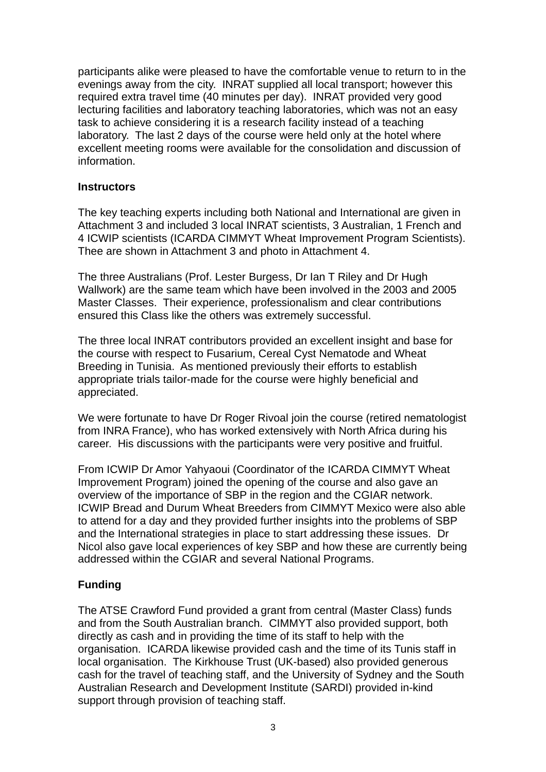participants alike were pleased to have the comfortable venue to return to in the evenings away from the city. INRAT supplied all local transport; however this required extra travel time (40 minutes per day). INRAT provided very good lecturing facilities and laboratory teaching laboratories, which was not an easy task to achieve considering it is a research facility instead of a teaching laboratory. The last 2 days of the course were held only at the hotel where excellent meeting rooms were available for the consolidation and discussion of information.

#### <span id="page-4-0"></span>**Instructors**

The key teaching experts including both National and International are given in Attachment 3 and included 3 local INRAT scientists, 3 Australian, 1 French and 4 ICWIP scientists (ICARDA CIMMYT Wheat Improvement Program Scientists). Thee are shown in Attachment 3 and photo in Attachment 4.

The three Australians (Prof. Lester Burgess, Dr Ian T Riley and Dr Hugh Wallwork) are the same team which have been involved in the 2003 and 2005 Master Classes. Their experience, professionalism and clear contributions ensured this Class like the others was extremely successful.

The three local INRAT contributors provided an excellent insight and base for the course with respect to Fusarium, Cereal Cyst Nematode and Wheat Breeding in Tunisia. As mentioned previously their efforts to establish appropriate trials tailor-made for the course were highly beneficial and appreciated.

We were fortunate to have Dr Roger Rivoal join the course (retired nematologist from INRA France), who has worked extensively with North Africa during his career. His discussions with the participants were very positive and fruitful.

From ICWIP Dr Amor Yahyaoui (Coordinator of the ICARDA CIMMYT Wheat Improvement Program) joined the opening of the course and also gave an overview of the importance of SBP in the region and the CGIAR network. ICWIP Bread and Durum Wheat Breeders from CIMMYT Mexico were also able to attend for a day and they provided further insights into the problems of SBP and the International strategies in place to start addressing these issues. Dr Nicol also gave local experiences of key SBP and how these are currently being addressed within the CGIAR and several National Programs.

#### <span id="page-4-1"></span>**Funding**

The ATSE Crawford Fund provided a grant from central (Master Class) funds and from the South Australian branch. CIMMYT also provided support, both directly as cash and in providing the time of its staff to help with the organisation. ICARDA likewise provided cash and the time of its Tunis staff in local organisation. The Kirkhouse Trust (UK-based) also provided generous cash for the travel of teaching staff, and the University of Sydney and the South Australian Research and Development Institute (SARDI) provided in-kind support through provision of teaching staff.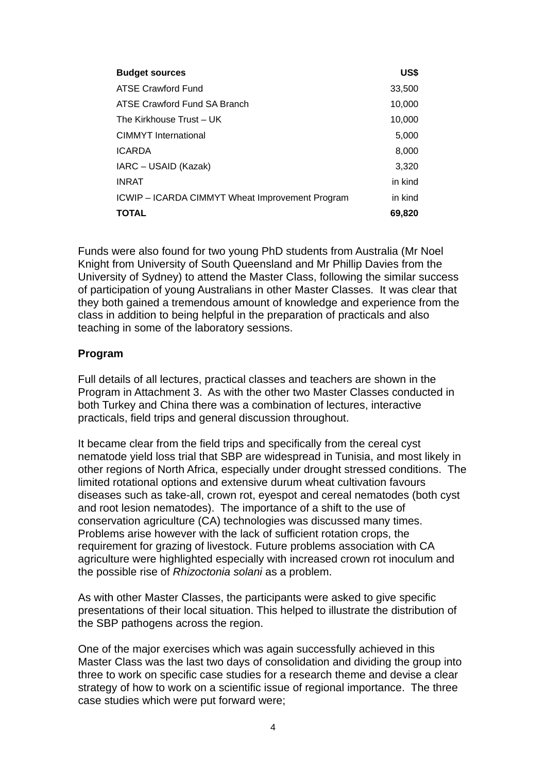| <b>Budget sources</b>                           | US\$    |
|-------------------------------------------------|---------|
| ATSE Crawford Fund                              | 33,500  |
| ATSE Crawford Fund SA Branch                    | 10,000  |
| The Kirkhouse Trust - UK                        | 10,000  |
| <b>CIMMYT</b> International                     | 5,000   |
| <b>ICARDA</b>                                   | 8,000   |
| IARC - USAID (Kazak)                            | 3,320   |
| <b>INRAT</b>                                    | in kind |
| ICWIP - ICARDA CIMMYT Wheat Improvement Program | in kind |
| <b>TOTAL</b>                                    | 69,820  |

Funds were also found for two young PhD students from Australia (Mr Noel Knight from University of South Queensland and Mr Phillip Davies from the University of Sydney) to attend the Master Class, following the similar success of participation of young Australians in other Master Classes. It was clear that they both gained a tremendous amount of knowledge and experience from the class in addition to being helpful in the preparation of practicals and also teaching in some of the laboratory sessions.

#### <span id="page-5-0"></span>**Program**

Full details of all lectures, practical classes and teachers are shown in the Program in Attachment 3. As with the other two Master Classes conducted in both Turkey and China there was a combination of lectures, interactive practicals, field trips and general discussion throughout.

It became clear from the field trips and specifically from the cereal cyst nematode yield loss trial that SBP are widespread in Tunisia, and most likely in other regions of North Africa, especially under drought stressed conditions. The limited rotational options and extensive durum wheat cultivation favours diseases such as take-all, crown rot, eyespot and cereal nematodes (both cyst and root lesion nematodes). The importance of a shift to the use of conservation agriculture (CA) technologies was discussed many times. Problems arise however with the lack of sufficient rotation crops, the requirement for grazing of livestock. Future problems association with CA agriculture were highlighted especially with increased crown rot inoculum and the possible rise of *Rhizoctonia solani* as a problem.

As with other Master Classes, the participants were asked to give specific presentations of their local situation. This helped to illustrate the distribution of the SBP pathogens across the region.

One of the major exercises which was again successfully achieved in this Master Class was the last two days of consolidation and dividing the group into three to work on specific case studies for a research theme and devise a clear strategy of how to work on a scientific issue of regional importance. The three case studies which were put forward were;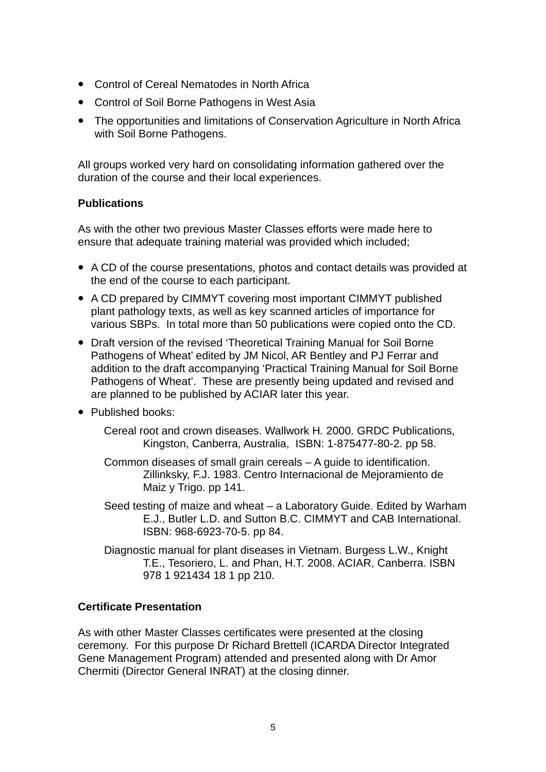- Control of Cereal Nematodes in North Africa
- Control of Soil Borne Pathogens in West Asia
- The opportunities and limitations of Conservation Agriculture in North Africa with Soil Borne Pathogens.

All groups worked very hard on consolidating information gathered over the duration of the course and their local experiences.

#### <span id="page-6-0"></span>**Publications**

As with the other two previous Master Classes efforts were made here to ensure that adequate training material was provided which included;

- A CD of the course presentations, photos and contact details was provided at the end of the course to each participant.
- A CD prepared by CIMMYT covering most important CIMMYT published plant pathology texts, as well as key scanned articles of importance for various SBPs. In total more than 50 publications were copied onto the CD.
- Draft version of the revised 'Theoretical Training Manual for Soil Borne Pathogens of Wheat' edited by JM Nicol, AR Bentley and PJ Ferrar and addition to the draft accompanying 'Practical Training Manual for Soil Borne Pathogens of Wheat'. These are presently being updated and revised and are planned to be published by ACIAR later this year.
- Published books:
	- Cereal root and crown diseases. Wallwork H*.* 2000. GRDC Publications, Kingston, Canberra, Australia, ISBN: 1-875477-80-2. pp 58.
	- Common diseases of small grain cereals A guide to identification. Zillinksky, F.J. 1983. Centro Internacional de Mejoramiento de Maiz y Trigo. pp 141.
	- Seed testing of maize and wheat a Laboratory Guide. Edited by Warham E.J., Butler L.D. and Sutton B.C. CIMMYT and CAB International. ISBN: 968-6923-70-5. pp 84.
	- Diagnostic manual for plant diseases in Vietnam. Burgess L.W., Knight T.E., Tesoriero, L. and Phan, H.T. 2008. ACIAR, Canberra. ISBN 978 1 921434 18 1 pp 210.

#### <span id="page-6-1"></span>**Certificate Presentation**

As with other Master Classes certificates were presented at the closing ceremony. For this purpose Dr Richard Brettell (ICARDA Director Integrated Gene Management Program) attended and presented along with Dr Amor Chermiti (Director General INRAT) at the closing dinner.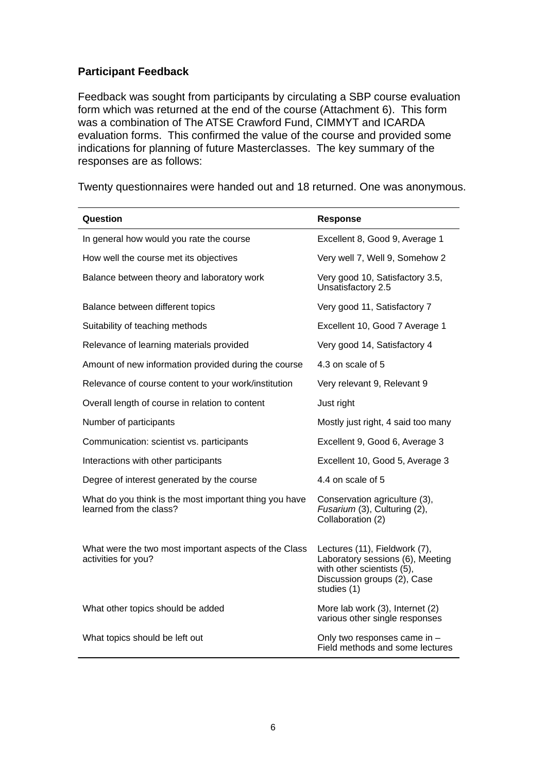#### <span id="page-7-0"></span>**Participant Feedback**

Feedback was sought from participants by circulating a SBP course evaluation form which was returned at the end of the course (Attachment 6). This form was a combination of The ATSE Crawford Fund, CIMMYT and ICARDA evaluation forms. This confirmed the value of the course and provided some indications for planning of future Masterclasses. The key summary of the responses are as follows:

| Question                                                                          | <b>Response</b>                                                                                                                               |
|-----------------------------------------------------------------------------------|-----------------------------------------------------------------------------------------------------------------------------------------------|
| In general how would you rate the course                                          | Excellent 8, Good 9, Average 1                                                                                                                |
| How well the course met its objectives                                            | Very well 7, Well 9, Somehow 2                                                                                                                |
| Balance between theory and laboratory work                                        | Very good 10, Satisfactory 3.5,<br>Unsatisfactory 2.5                                                                                         |
| Balance between different topics                                                  | Very good 11, Satisfactory 7                                                                                                                  |
| Suitability of teaching methods                                                   | Excellent 10, Good 7 Average 1                                                                                                                |
| Relevance of learning materials provided                                          | Very good 14, Satisfactory 4                                                                                                                  |
| Amount of new information provided during the course                              | 4.3 on scale of 5                                                                                                                             |
| Relevance of course content to your work/institution                              | Very relevant 9, Relevant 9                                                                                                                   |
| Overall length of course in relation to content                                   | Just right                                                                                                                                    |
| Number of participants                                                            | Mostly just right, 4 said too many                                                                                                            |
| Communication: scientist vs. participants                                         | Excellent 9, Good 6, Average 3                                                                                                                |
| Interactions with other participants                                              | Excellent 10, Good 5, Average 3                                                                                                               |
| Degree of interest generated by the course                                        | 4.4 on scale of 5                                                                                                                             |
| What do you think is the most important thing you have<br>learned from the class? | Conservation agriculture (3),<br>Fusarium (3), Culturing (2),<br>Collaboration (2)                                                            |
| What were the two most important aspects of the Class<br>activities for you?      | Lectures (11), Fieldwork (7),<br>Laboratory sessions (6), Meeting<br>with other scientists (5),<br>Discussion groups (2), Case<br>studies (1) |
| What other topics should be added                                                 | More lab work (3), Internet (2)<br>various other single responses                                                                             |
| What topics should be left out                                                    | Only two responses came in -<br>Field methods and some lectures                                                                               |

Twenty questionnaires were handed out and 18 returned. One was anonymous.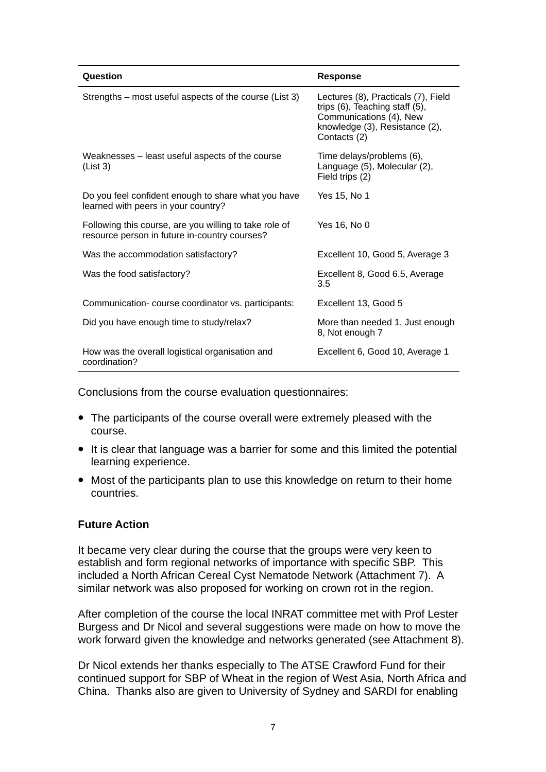| Question                                                                                                | <b>Response</b>                                                                                                                                    |
|---------------------------------------------------------------------------------------------------------|----------------------------------------------------------------------------------------------------------------------------------------------------|
| Strengths – most useful aspects of the course (List 3)                                                  | Lectures (8), Practicals (7), Field<br>trips (6), Teaching staff (5),<br>Communications (4), New<br>knowledge (3), Resistance (2),<br>Contacts (2) |
| Weaknesses – least useful aspects of the course<br>(List 3)                                             | Time delays/problems (6),<br>Language (5), Molecular (2),<br>Field trips (2)                                                                       |
| Do you feel confident enough to share what you have<br>learned with peers in your country?              | Yes 15, No 1                                                                                                                                       |
| Following this course, are you willing to take role of<br>resource person in future in-country courses? | Yes 16, No 0                                                                                                                                       |
| Was the accommodation satisfactory?                                                                     | Excellent 10, Good 5, Average 3                                                                                                                    |
| Was the food satisfactory?                                                                              | Excellent 8, Good 6.5, Average<br>3.5                                                                                                              |
| Communication-course coordinator vs. participants:                                                      | Excellent 13, Good 5                                                                                                                               |
| Did you have enough time to study/relax?                                                                | More than needed 1, Just enough<br>8, Not enough 7                                                                                                 |
| How was the overall logistical organisation and<br>coordination?                                        | Excellent 6, Good 10, Average 1                                                                                                                    |

Conclusions from the course evaluation questionnaires:

- The participants of the course overall were extremely pleased with the course.
- It is clear that language was a barrier for some and this limited the potential learning experience.
- Most of the participants plan to use this knowledge on return to their home countries.

#### <span id="page-8-0"></span>**Future Action**

It became very clear during the course that the groups were very keen to establish and form regional networks of importance with specific SBP. This included a North African Cereal Cyst Nematode Network (Attachment 7). A similar network was also proposed for working on crown rot in the region.

After completion of the course the local INRAT committee met with Prof Lester Burgess and Dr Nicol and several suggestions were made on how to move the work forward given the knowledge and networks generated (see Attachment 8).

Dr Nicol extends her thanks especially to The ATSE Crawford Fund for their continued support for SBP of Wheat in the region of West Asia, North Africa and China. Thanks also are given to University of Sydney and SARDI for enabling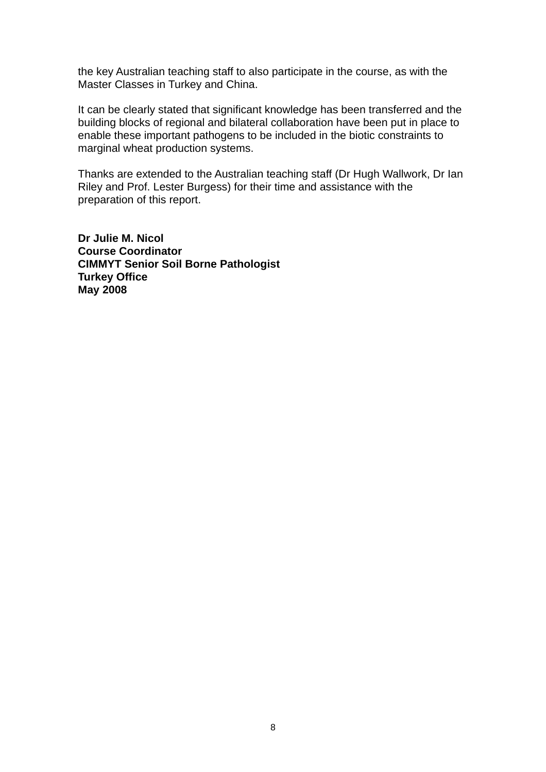the key Australian teaching staff to also participate in the course, as with the Master Classes in Turkey and China.

It can be clearly stated that significant knowledge has been transferred and the building blocks of regional and bilateral collaboration have been put in place to enable these important pathogens to be included in the biotic constraints to marginal wheat production systems.

Thanks are extended to the Australian teaching staff (Dr Hugh Wallwork, Dr Ian Riley and Prof. Lester Burgess) for their time and assistance with the preparation of this report.

**Dr Julie M. Nicol Course Coordinator CIMMYT Senior Soil Borne Pathologist Turkey Office May 2008**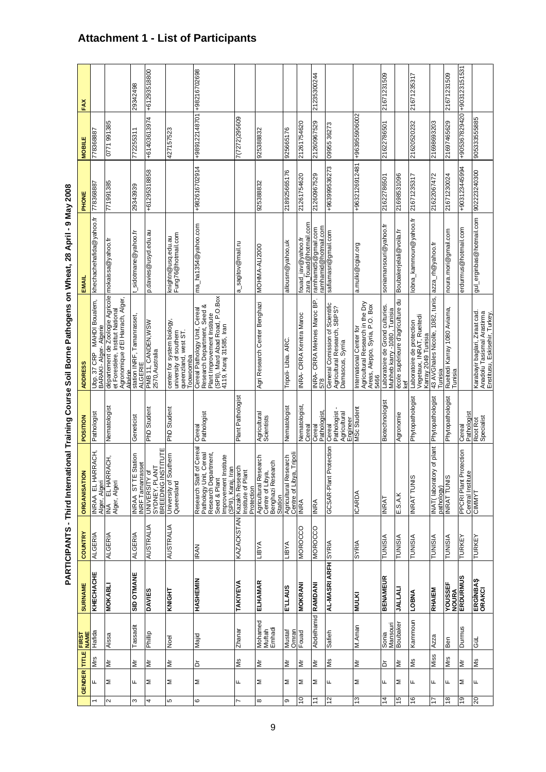| ֝ <b>֝</b>               |
|--------------------------|
|                          |
| <b>And Inches</b>        |
|                          |
|                          |
| $\overline{\phantom{a}}$ |
| <b>12.00 A</b>           |
|                          |
|                          |
|                          |
|                          |
|                          |
| i                        |
|                          |
|                          |
|                          |
|                          |
|                          |
|                          |
|                          |
|                          |
| .<br>Tir                 |
|                          |
| $\ddotsc$                |
|                          |
| PARTI                    |

<span id="page-10-0"></span>

|               |               |          |                             | <b>PARTICIPANTS - Third Internati</b> |                  |                                                                                                                           |                                                   | onal Training Course Soil Borne Pathogens on Wheat, 28 April                                                                                              |                                              | - 9 May 2008   |                             |              |
|---------------|---------------|----------|-----------------------------|---------------------------------------|------------------|---------------------------------------------------------------------------------------------------------------------------|---------------------------------------------------|-----------------------------------------------------------------------------------------------------------------------------------------------------------|----------------------------------------------|----------------|-----------------------------|--------------|
|               | <b>GENDER</b> | TITLE    | <b>NAME</b><br><b>FIRST</b> | <b>SURNAME</b>                        | <b>COUNTRY</b>   | <b>ORGANISATION</b>                                                                                                       | POSITION                                          | <b>ADDRESS</b>                                                                                                                                            | EMAIL                                        | PHONE          | <b>MOBILE</b>               | FAX          |
|               | щ             | Mrs      | Hafida                      | KHECHACHE                             | <b>ALGERIA</b>   | RACH,                                                                                                                     | Pathologist                                       | Ubp. 37 CRP   MAHDI Boualem,<br>BARAKI- Alger- Algerie                                                                                                    | khechachehafida@yahoo.fr                     | 78368887       | 778368887                   |              |
| $\sim$        | Σ             | ξ        | Aissa                       | <b>MOKABL</b>                         | <b>ALGERIA</b>   | <mark>INRAA EL HARRACH</mark><br>Alger, Algeri<br>INA EL HARRACH,<br>Alger, Algeri                                        | Nematologist                                      | département de Zoologie Agricole<br>Agronomique d'El Harrach, Alger<br>et Forestière, Institut National                                                   | mokaissa@yahoo.fr                            | 771991385      | 0771991385                  |              |
| S             | щ             | İΣ       | Tassadit                    | <b>SID OTMANE</b>                     | <b>ALGERIA</b>   | tation<br>ē<br>INRAA STTESI<br>INRFTamanrass                                                                              | Geneticist                                        | Algérie<br>station INRF, Tamanrasset,<br><b>ALGERIE</b>                                                                                                   | sidotmane@yahoo.fr                           | 29343939       | 772255311                   | 29342498     |
| 4             | Σ             | Σ        | Phillip                     | <b>DAVIES</b>                         | <b>AUSTRALIA</b> | UNIVERSITY of<br>SYDNEY, PLANT<br>BREEDING INSTITUTE                                                                      | <b>PhD Student</b>                                | PMB 11, CANDEN, WSW<br>2570, Australia                                                                                                                    | p.davies@usyd.edu.au                         | +61295318858   | +61403613974                | +61293518800 |
| l۵            | ≅             | İΣ       | Noel                        | KNIGHT                                | <b>AUSTRALIA</b> | University of Southern<br>Queensland                                                                                      | <b>PhD</b> Student                                | center for system biology,<br>university of southern<br>queenzland, west ST.<br>Toowoomba                                                                 | knightn@usq.edu.au<br>Fung76@hotmail.com     |                | 427157523                   |              |
| ဖ             | Σ             | ă        | Majid                       | HASHEMIN                              | <b>IRAN</b>      | Cereal<br>Research Staff of Cerea<br>Pathology Unit, Cereal<br>Research Department,<br>Improck Ramit<br>Inp., Karaj, Iran | Pathologist<br>Cereal                             | (SPII), Mard Abad Road, P.O.Box<br>Cereal Pathology Unit, Cereal<br>Research Department, Seed &<br>Plant Improvement Institute<br>4119, Karaj 31585, Iran | ma_ha1354@yahoo.com                          | +982616702914  | +989122148701               | +98216702698 |
| N             | щ             | Ś        | Zhanar                      | TAKIYEVA                              | KAZACKSTAN       | Kazakh Research<br>Institute of Plant<br>Protection                                                                       | Plant Pathologist                                 |                                                                                                                                                           | a_sagitov@mail.ru                            |                | 7(7272)295609               |              |
| $\infty$      | Σ             | ξ        | Mohamed<br>Muftah<br>Emhadi | ELHAMAR                               | <b>VASIT</b>     | arch<br>ę<br>Agricultural Resea<br>Centre of Libya,<br>Benghazi Researc<br>Station                                        | Agricultural<br>Scientists                        | Agri Research Center Benghazi                                                                                                                             | MOHMA-ALI2000                                | 925388832      | 925388832                   |              |
| თ             | ≅             | Σ        | Mustaf<br>Omran             | <b>E.LTVN2</b>                        | <b>VASIT</b>     | Tripoli<br>Agricultural Research<br>Centre of Libya, Tripoli<br>INRA                                                      | Nematologist                                      | Tripoli-Libia. ARC                                                                                                                                        | allousm@yahoo,uk                             | 218925665176   | 925665176                   |              |
| S             | Σ             | İΣ       | Fouad                       | <b>MOKRANI</b>                        | <b>MOROCCO</b>   |                                                                                                                           | Nematologist,<br>Cereal                           | INRA- CRRA Kenitra Maroc                                                                                                                                  | zara_fouad@hotmail.com<br>fouad_iav@yahoo.fr | 21261754620    | 21261754620                 |              |
| $\tilde{t}$   | Σ             | ξ        | Abdelhamid RAMDANI          |                                       | <b>MOROCCO</b>   | <b>INRA</b>                                                                                                               | Cereal<br>Pathologist,                            | INRA- CRRA Meknes Maroc BP.<br>578                                                                                                                        | ramhamid5@gmail.com<br>ramhamid@hotmail.com  | 21260967529    | 21260967529                 | 21235300244  |
| 12            | щ             | Ś        | Safieh                      | <b>AL-MASRI ARFH</b> SYRIA            |                  | otection<br>GCSAR-Plant Pr                                                                                                | Pathologist<br>Agricultural<br>Engineer<br>Cereal | General Comission of Scientific<br>Agricultural Research, SBPS?<br>Damascus, Syrria                                                                       | safiamasri@gmail.com                         | +963999536273  | 09955 36273                 |              |
| 13            | Σ             | Δr       | M.Aman                      | <b>MULKI</b>                          | <b>SYRIA</b>     | <b>ICARDA</b>                                                                                                             | MSc Student                                       | Agricultural Research in the Dry<br>Areas, Aleppo, Syria, P.O. Box<br>International Center for<br>5466                                                    | a.mulki@cgiar.org                            | +9632126912481 | +963955906002               |              |
| $\frac{4}{3}$ | щ             | ð        | Sonia<br>Mansouri           | <b>BENAMEUR</b>                       | TUNISIA          | $\overline{\text{INRAT}}$                                                                                                 | Biotechnologist                                   | Laboratoire de Grond culturies.<br>Tunisia<br>Muhheb karry -1080,                                                                                         | soniamansouri@yahoo.fr                       | 21622786501    | 21622786501                 | 21671231509  |
| $\frac{6}{3}$ | ≅             | ξ        | Boubaker                    | <b>UALLAL</b>                         | <b>TUNISIA</b>   | E.S.A.K                                                                                                                   | Agronomie                                         | école supérieure d'agriculture du<br>kef                                                                                                                  | Boubakerjelali@voila.fr                      | 21698531096    |                             |              |
| 16            | ∣щ            | ls<br>Ms | Kammoun                     | <b>TOBNA</b>                          | TUNISIA          | <b>INRAT TUNIS</b>                                                                                                        | Phytopathologist                                  | Laboratoire de protection<br>Vegetaux, INRAT, Rueitedi<br>Karray 2049 Tunisia                                                                             | lobna_kammoun@yahoo.fr                       | 21671235317    | 21620520232                 | 21671235317  |
| 17            | Щ             | Miss     | <b>Azza</b>                 | RHAIEM                                | <b>TUNISIA</b>   | INAT( laboratory<br> Rathology<br>  NRAT TUNIS                                                                            | of plant Phytopathologist                         | 43 AVGhales Nicolle, 1082, tunis,<br>Tunisia                                                                                                              | azza_rh@yahoo.fr                             | 21622067472    | 21698693203                 |              |
| $\frac{8}{2}$ | щ             | Mrs      | Ben                         | YOUSSEF<br>NOURA<br>ERDURMUS          | <b>TUNISIA</b>   |                                                                                                                           | Phytopathologist                                  | Rueitedi Karray 1080 Aviama<br>Tunisia                                                                                                                    | noura.mori@gmail.com                         | 21671230024    | 21697465629                 | 21671231509  |
| $\frac{6}{2}$ | Σ             | ξ        | Durmus                      |                                       | TURKEY           | tection<br>  PPCRI Plant Prote<br>  Central Institute<br>  CIMMYT                                                         | Pathologist<br>Cerea                              |                                                                                                                                                           | erdurmus@hotmail.com                         | +903123445994  | +905367829420 +903123151531 |              |
| 20            | щ             | SM       | ē                           | ERGÍNBAŞ<br>ORAKCI                    | <b>TURKE</b>     |                                                                                                                           | Root Rot<br>Specialist                            | Karabayir baglari, Ziraat cad.<br>Anadolú Tasišmai Arastirma<br>Enstitusu, Eskisehir, Turkey.                                                             | gul_erginbas@hotmail.com                     | 902223240300   | 905333555885                |              |

# **Attachment 1 - List of Participants**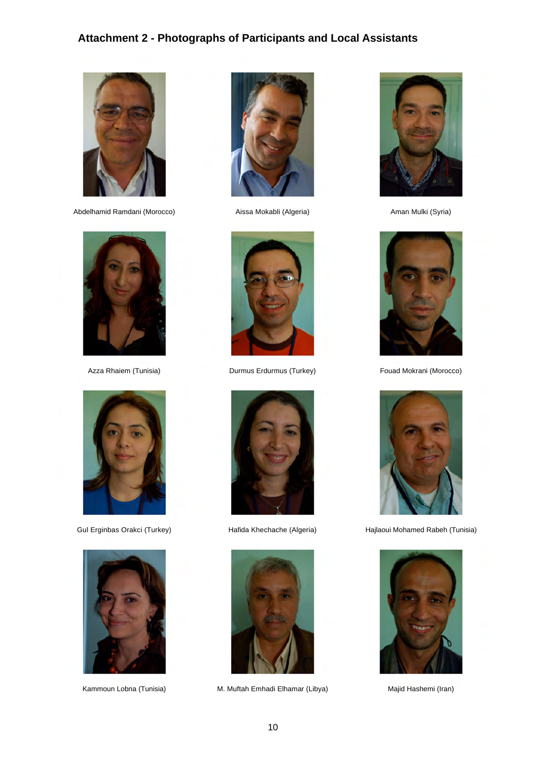# **Attachment 2 - Photographs of Participants and Local Assistants**

<span id="page-11-0"></span>

Abdelhamid Ramdani (Morocco) a Aissa Mokabli (Algeria) Aman Mulki (Syria)











Azza Rhaiem (Tunisia) **Durmus Erdurmus (Turkey)** Fouad Mokrani (Morocco)





Kammoun Lobna (Tunisia) M. Muftah Emhadi Elhamar (Libya) Majid Hashemi (Iran)







Gul Erginbas Orakci (Turkey) Hafida Khechache (Algeria) Hajlaoui Mohamed Rabeh (Tunisia)

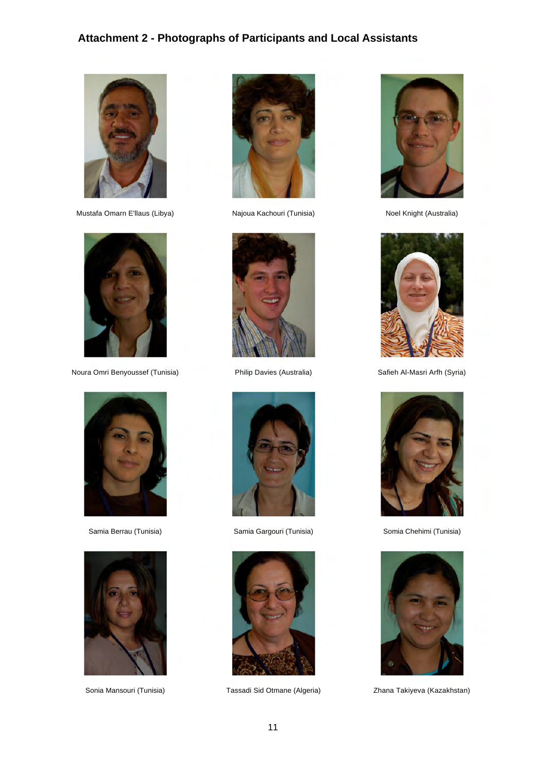# **Attachment 2 - Photographs of Participants and Local Assistants**



Mustafa Omarn E'llaus (Libya) Najoua Kachouri (Tunisia) Noel Knight (Australia)



Noura Omri Benyoussef (Tunisia) Philip Davies (Australia) Safieh Al-Masri Arfh (Syria)











Samia Berrau (Tunisia) Samia Gargouri (Tunisia) Somia Chehimi (Tunisia)



Sonia Mansouri (Tunisia) Tassadi Sid Otmane (Algeria) Zhana Takiyeva (Kazakhstan)







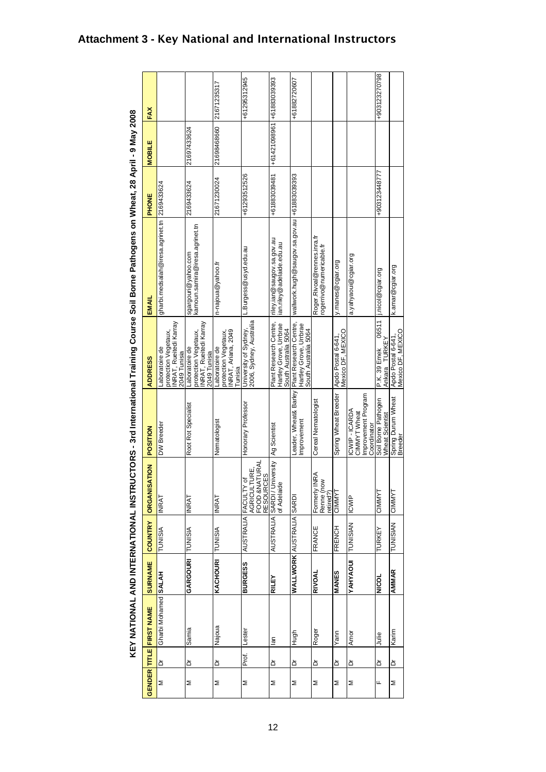<span id="page-13-0"></span>

| FAX                     |                                                                                  |                                                                                  | 21671235317                                                              | +61295312945                                          |                                                                                    | +61882720607                                                                                     |                                                         |                                         |                                                                      | +903123270798                             |                                         |
|-------------------------|----------------------------------------------------------------------------------|----------------------------------------------------------------------------------|--------------------------------------------------------------------------|-------------------------------------------------------|------------------------------------------------------------------------------------|--------------------------------------------------------------------------------------------------|---------------------------------------------------------|-----------------------------------------|----------------------------------------------------------------------|-------------------------------------------|-----------------------------------------|
| <b>MOBILE</b>           |                                                                                  | 21697433624                                                                      | 21698468660                                                              |                                                       | +61421098961 +61883089895                                                          |                                                                                                  |                                                         |                                         |                                                                      |                                           |                                         |
| PHONE                   |                                                                                  | 2169433624                                                                       | 21671230024                                                              | +61293512526                                          | +61883039481                                                                       |                                                                                                  |                                                         |                                         |                                                                      | +903123448777                             |                                         |
| EMAIL                   | gharbi.medsalah@iresa.agrinet.tn 2169433624                                      | sgargouri@yahoo.com<br>kamoun.samira@iresa.agrinet.tn                            | n-najoua@yahoo.fr                                                        | L.Burgess@usyd.edu.au                                 | riley.ian@saugov.sa.gov.au<br>ian.riley@adelaide.edu.au                            | wallwork.hugh@saugov.sa.gov.au  +61883039393                                                     | Roger.Rivoal@rennes.inra.fr<br>rogerrivo@numericable.fr | y.manes@cgiar.org                       | a.yahyaoui@cgiar.org                                                 | j.nicol@cgiar.org                         | k.amar@cgiar.org                        |
| <b>ADDRESS</b>          | INRAT, Rueitedi Karray<br>protection Vegetaux,<br>Laboratoire de<br>2049 Tunisia | INRAT, Rueitedi Karray<br>protection Vegetaux,<br>Laboratoire de<br>2049 Tunisia | INRAT, Ariana, 2049<br>protection Vegetaux,<br>Laboratoire de<br>Tunisia | University of Sydney,<br>2006, Sydney, Australia      | Plant Research Centre,<br>Hartley Grove, Urrbrae<br>South Australia 5064           | Leader, Wheat& Barley   Plant Research Centre,<br>Hartley Grove, Urrbrae<br>South Australia 5064 |                                                         | Apdo Postal 6-641,<br>Mexico DF, MEXICO |                                                                      | 06511<br>TURKEY<br>P.K. 39 Emek<br>Ankara | Apdo Postal 6-641,<br>Mexico DF, MEXICO |
| POSITION                | DW Breeder                                                                       | Root Rot Specialist                                                              | Nematologist                                                             | Honorary Professor                                    | Ag Scientist                                                                       | improvement                                                                                      | Cereal Nematologist                                     | Spring Wheat Breeder                    | Improvement Program<br>ICWIP - ICARDA<br>CIMMYT Wheat<br>Coordinator | Soil Borne Pathogen<br>Wheat Scientist    | Spring Durum Wheat<br>Breeder           |
| <b>ORGANISATION</b>     | <b>INRAT</b>                                                                     | <b>INRAT</b>                                                                     | <b>INRAT</b>                                                             | AGRICULTURE,<br>FOOD &NATURAL<br>AUSTRALIA FACULTY 01 | <b>AUSTRALIA SARDI / University</b><br>AUSTRALIA SARDI / University<br>of Adelaide |                                                                                                  | RA.<br>  Formerly INR<br>  Renne (now<br>retired?)      | CIMMYT                                  | <b>ICWIP</b>                                                         | CIMMYT                                    | CIMMYT                                  |
| <b>COUNTRY</b>          | TUNISIA                                                                          | TUNISIA                                                                          | <b>TUNISIA</b>                                                           |                                                       |                                                                                    |                                                                                                  | FRANCE                                                  | <b>FRENCH</b>                           | <b>TUNISIAN</b>                                                      | TURKEY                                    | <b>TUNISIAN</b>                         |
| <b>SURNAME</b>          |                                                                                  | GARGOURI                                                                         | KACHOURI                                                                 | <b>BURGESS</b>                                        | RILEY                                                                              | <b>WALLWORK</b> AUSTRALIA SARD                                                                   | RIVOAL                                                  | MANES                                   | YAHYAOU                                                              | <b>NICOL</b>                              | <b>AMMAR</b>                            |
| GENDER TITLE FIRST NAME | Gharbi Mohamed SALAH                                                             | Samia                                                                            | Najoua                                                                   | Lester                                                | $\overline{a}$                                                                     | Hugh                                                                                             | Roger                                                   | Yann                                    | Amor                                                                 | ە<br>الىل                                 | Karim                                   |
|                         | ۵                                                                                | ă                                                                                | ă                                                                        | Prof.                                                 | ځ                                                                                  | ă                                                                                                | ۵                                                       | ة                                       | ۵                                                                    | ۵                                         | ة                                       |
|                         | Σ                                                                                | Σ                                                                                | Σ                                                                        | Σ                                                     | Σ                                                                                  | Σ                                                                                                | Σ                                                       | Σ                                       | Σ                                                                    | щ                                         | Σ                                       |

# **Attachment 3 - Key National and International Instructors**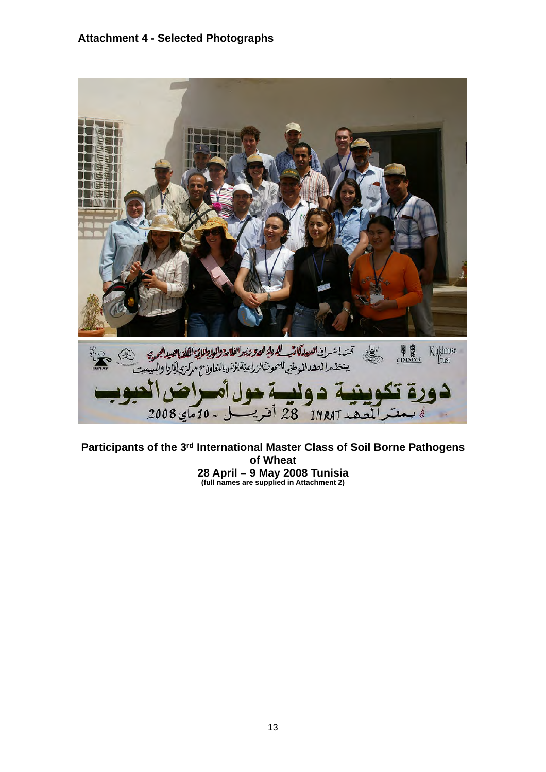#### **Attachment 4 - Selected Photographs**

<span id="page-14-0"></span>

**Participants of the 3rd International Master Class of Soil Borne Pathogens of Wheat 28 April – 9 May 2008 Tunisia (full names are supplied in Attachment 2)**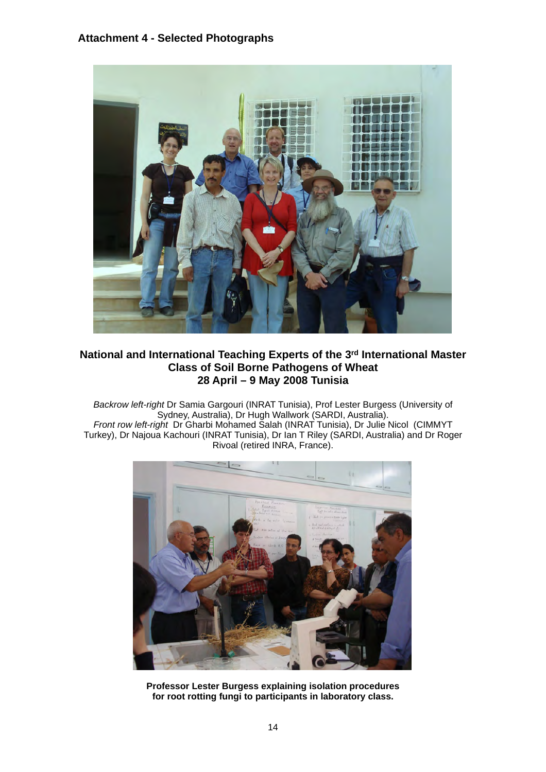#### **Attachment 4 - Selected Photographs**



#### **National and International Teaching Experts of the 3rd International Master Class of Soil Borne Pathogens of Wheat 28 April – 9 May 2008 Tunisia**

*Backrow left-right* Dr Samia Gargouri (INRAT Tunisia), Prof Lester Burgess (University of Sydney, Australia), Dr Hugh Wallwork (SARDI, Australia). *Front row left-right* Dr Gharbi Mohamed Salah (INRAT Tunisia), Dr Julie Nicol (CIMMYT Turkey), Dr Najoua Kachouri (INRAT Tunisia), Dr Ian T Riley (SARDI, Australia) and Dr Roger Rivoal (retired INRA, France).

![](_page_15_Picture_4.jpeg)

**Professor Lester Burgess explaining isolation procedures for root rotting fungi to participants in laboratory class.**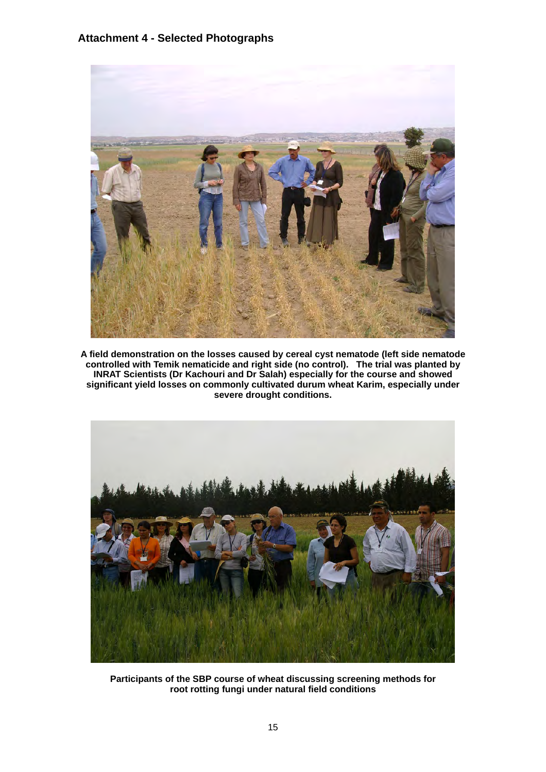#### **Attachment 4 - Selected Photographs**

![](_page_16_Picture_1.jpeg)

**A field demonstration on the losses caused by cereal cyst nematode (left side nematode controlled with Temik nematicide and right side (no control). The trial was planted by INRAT Scientists (Dr Kachouri and Dr Salah) especially for the course and showed significant yield losses on commonly cultivated durum wheat Karim, especially under severe drought conditions.**

![](_page_16_Picture_3.jpeg)

**Participants of the SBP course of wheat discussing screening methods for root rotting fungi under natural field conditions**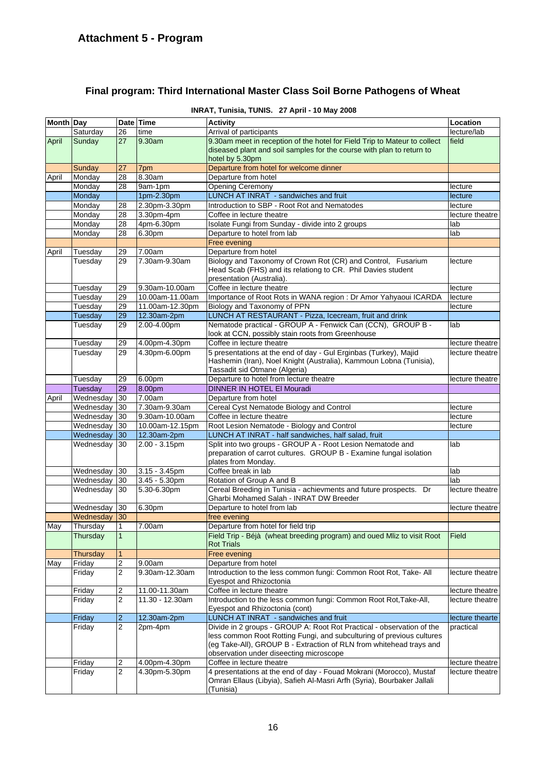# **Final program: Third International Master Class Soil Borne Pathogens of Wheat**

|  | INRAT, Tunisia, TUNIS. 27 April - 10 May 2008 |
|--|-----------------------------------------------|
|--|-----------------------------------------------|

| Month Day |                    |                         | Date Time       | <b>Activity</b>                                                                                                                              | Location        |
|-----------|--------------------|-------------------------|-----------------|----------------------------------------------------------------------------------------------------------------------------------------------|-----------------|
|           | Saturday           | 26                      | time            | Arrival of participants                                                                                                                      | lecture/lab     |
| April     | Sunday             | 27                      | 9.30am          | 9.30am meet in reception of the hotel for Field Trip to Mateur to collect                                                                    | field           |
|           |                    |                         |                 | diseased plant and soil samples for the course with plan to return to                                                                        |                 |
|           |                    |                         |                 | hotel by 5.30pm                                                                                                                              |                 |
|           | <b>Sunday</b>      | 27                      | 7pm             | Departure from hotel for welcome dinner                                                                                                      |                 |
| April     | Monday             | 28                      | 8.30am          | Departure from hotel                                                                                                                         |                 |
|           | Monday             | 28                      | 9am-1pm         | <b>Opening Ceremony</b>                                                                                                                      | lecture         |
|           | Monday             |                         | 1pm-2.30pm      | LUNCH AT INRAT - sandwiches and fruit                                                                                                        | lecture         |
|           | Monday             | 28                      | 2.30pm-3.30pm   | Introduction to SBP - Root Rot and Nematodes                                                                                                 | lecture         |
|           | Monday             | $\overline{28}$         | 3.30pm-4pm      | Coffee in lecture theatre                                                                                                                    | lecture theatre |
|           | Monday             | 28                      | 4pm-6.30pm      | Isolate Fungi from Sunday - divide into 2 groups                                                                                             | lab             |
|           | Monday             | 28                      | 6.30pm          | Departure to hotel from lab                                                                                                                  | lab             |
|           |                    |                         |                 | Free evening                                                                                                                                 |                 |
| April     | Tuesday            | 29                      | 7.00am          | Departure from hotel                                                                                                                         |                 |
|           | Tuesday            | 29                      | 7.30am-9.30am   | Biology and Taxonomy of Crown Rot (CR) and Control, Fusarium                                                                                 | lecture         |
|           |                    |                         |                 | Head Scab (FHS) and its relationg to CR. Phil Davies student<br>presentation (Australia).                                                    |                 |
|           |                    |                         | 9.30am-10.00am  | Coffee in lecture theatre                                                                                                                    | lecture         |
|           | Tuesday<br>Tuesday | 29<br>29                | 10.00am-11.00am | Importance of Root Rots in WANA region : Dr Amor Yahyaoui ICARDA                                                                             | lecture         |
|           | Tuesday            | 29                      | 11.00am-12.30pm | Biology and Taxonomy of PPN                                                                                                                  | lecture         |
|           | Tuesday            | 29                      | 12.30am-2pm     | LUNCH AT RESTAURANT - Pizza, Icecream, fruit and drink                                                                                       |                 |
|           | Tuesday            | 29                      | 2.00-4.00pm     | Nematode practical - GROUP A - Fenwick Can (CCN), GROUP B -                                                                                  | lab             |
|           |                    |                         |                 | look at CCN, possibly stain roots from Greenhouse                                                                                            |                 |
|           | Tuesday            | 29                      | 4.00pm-4.30pm   | Coffee in lecture theatre                                                                                                                    | lecture theatre |
|           | Tuesday            | 29                      | 4.30pm-6.00pm   | 5 presentations at the end of day - Gul Erginbas (Turkey), Majid                                                                             | lecture theatre |
|           |                    |                         |                 | Hashemin (Iran), Noel Knight (Australia), Kammoun Lobna (Tunisia),                                                                           |                 |
|           |                    |                         |                 | Tassadit sid Otmane (Algeria)                                                                                                                |                 |
|           | Tuesday            | 29                      | 6.00pm          | Departure to hotel from lecture theatre                                                                                                      | lecture theatre |
|           | Tuesday            | 29                      | 8.00pm          | <b>DINNER IN HOTEL EI Mouradi</b>                                                                                                            |                 |
| April     | Wednesday          | 30                      | 7.00am          | Departure from hotel                                                                                                                         |                 |
|           | Wednesday          | 30                      | 7.30am-9.30am   | Cereal Cyst Nematode Biology and Control                                                                                                     | lecture         |
|           | Wednesday          | 130                     | 9.30am-10.00am  | Coffee in lecture theatre                                                                                                                    | lecture         |
|           | Wednesday          | 30                      | 10.00am-12.15pm | Root Lesion Nematode - Biology and Control                                                                                                   | lecture         |
|           | Wednesday          | 130                     | 12.30am-2pm     | LUNCH AT INRAT - half sandwiches, half salad, fruit                                                                                          |                 |
|           | Wednesday          | $ 30\rangle$            | 2.00 - 3.15pm   | Split into two groups - GROUP A - Root Lesion Nematode and                                                                                   | lab             |
|           |                    |                         |                 | preparation of carrot cultures. GROUP B - Examine fungal isolation                                                                           |                 |
|           |                    |                         |                 | plates from Monday.                                                                                                                          |                 |
|           | Wednesday          | $ 30\rangle$            | 3.15 - 3.45pm   | Coffee break in lab                                                                                                                          | lab             |
|           | Wednesday          | 130                     | $3.45 - 5.30pm$ | Rotation of Group A and B                                                                                                                    | lab             |
|           | Wednesday 30       |                         | 5.30-6.30pm     | Cereal Breeding in Tunisia - achievments and future prospects. Dr                                                                            | lecture theatre |
|           |                    |                         |                 | Gharbi Mohamed Salah - INRAT DW Breeder                                                                                                      |                 |
|           | Wednesday          | $ 30\rangle$            | 6.30pm          | Departure to hotel from lab                                                                                                                  | lecture theatre |
|           | Wednesday 30       |                         |                 | free evening                                                                                                                                 |                 |
| May       | Thursday           | $\vert$ 1               | 7.00am          | Departure from hotel for field trip                                                                                                          |                 |
|           | Thursday           | $\vert$ 1               |                 | Field Trip - Béjà (wheat breeding program) and oued Mliz to visit Root                                                                       | Field           |
|           |                    |                         |                 | Rot Trials                                                                                                                                   |                 |
|           | <b>Thursday</b>    | $\mathbf{1}$            |                 | Free evening                                                                                                                                 |                 |
| May       | Friday             | 2                       | 9.00am          | Departure from hotel                                                                                                                         |                 |
|           | Friday             | 2                       | 9.30am-12.30am  | Introduction to the less common fungi: Common Root Rot, Take- All                                                                            | lecture theatre |
|           |                    |                         |                 | Eyespot and Rhizoctonia                                                                                                                      |                 |
|           | Friday             | 2                       | 11.00-11.30am   | Coffee in lecture theatre                                                                                                                    | lecture theatre |
|           | Friday             | 2                       | 11.30 - 12.30am | Introduction to the less common fungi: Common Root Rot, Take-All,                                                                            | lecture theatre |
|           |                    |                         |                 | Eyespot and Rhizoctonia (cont)                                                                                                               |                 |
|           | Friday             | $\overline{\mathbf{c}}$ | 12.30am-2pm     | LUNCH AT INRAT - sandwiches and fruit                                                                                                        | lecture thearte |
|           | Friday             | 2                       | 2pm-4pm         | Divide in 2 groups - GROUP A: Root Rot Practical - observation of the                                                                        | practical       |
|           |                    |                         |                 | less common Root Rotting Fungi, and subculturing of previous cultures<br>(eg Take-All), GROUP B - Extraction of RLN from whitehead trays and |                 |
|           |                    |                         |                 | observation under diseecting microscope                                                                                                      |                 |
|           | Friday             | 2                       | 4.00pm-4.30pm   | Coffee in lecture theatre                                                                                                                    | lecture theatre |
|           | Friday             | $\overline{2}$          | 4.30pm-5.30pm   | 4 presentations at the end of day - Fouad Mokrani (Morocco), Mustaf                                                                          | lecture theatre |
|           |                    |                         |                 | Omran Ellaus (Libyia), Safieh Al-Masri Arfh (Syria), Bourbaker Jallali                                                                       |                 |
|           |                    |                         |                 | (Tunisia)                                                                                                                                    |                 |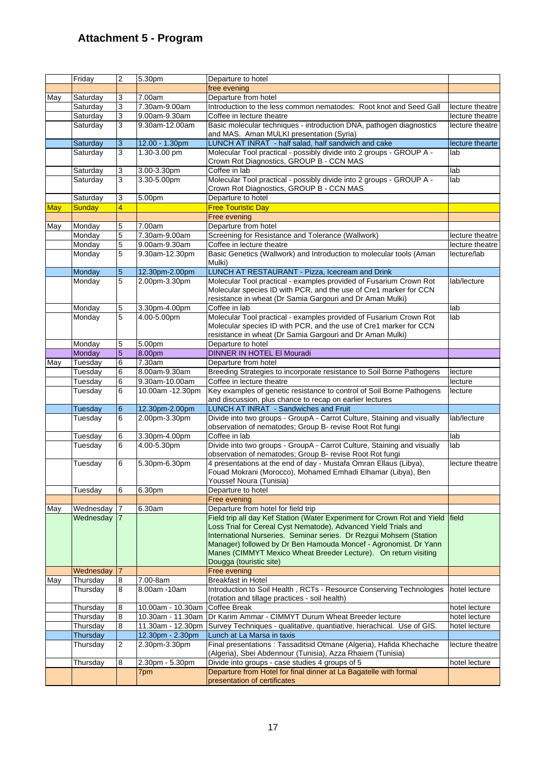# **Attachment 5 - Program**

<span id="page-18-0"></span>

|            | Friday    | 2               | 5.30pm                       | Departure to hotel                                                                                                                                                                                                                                                                                      |                 |
|------------|-----------|-----------------|------------------------------|---------------------------------------------------------------------------------------------------------------------------------------------------------------------------------------------------------------------------------------------------------------------------------------------------------|-----------------|
|            |           |                 |                              | free evening                                                                                                                                                                                                                                                                                            |                 |
| May        | Saturday  | 3               | 7.00am                       | Departure from hotel                                                                                                                                                                                                                                                                                    |                 |
|            | Saturday  | 3               | 7.30am-9.00am                | Introduction to the less common nematodes: Root knot and Seed Gall                                                                                                                                                                                                                                      | lecture theatre |
|            | Saturday  | 3               | 9.00am-9.30am                | Coffee in lecture theatre                                                                                                                                                                                                                                                                               | lecture theatre |
|            | Saturday  | 3               | 9.30am-12.00am               | Basic molecular techniques - introduction DNA, pathogen diagnostics<br>and MAS. Aman MULKI presentation (Syria)                                                                                                                                                                                         | lecture theatre |
|            | Saturday  | 3               | 12.00 - 1.30pm               | LUNCH AT INRAT - half salad, half sandwich and cake                                                                                                                                                                                                                                                     | lecture thearte |
|            | Saturday  | 3               | 1.30-3.00 pm                 | Molecular Tool practical - possibly divide into 2 groups - GROUP A -                                                                                                                                                                                                                                    | lab             |
|            | Saturday  | 3               | 3.00-3.30pm                  | Crown Rot Diagnostics, GROUP B - CCN MAS<br>Coffee in lab                                                                                                                                                                                                                                               | lab             |
|            | Saturday  | 3               | 3.30-5.00pm                  | Molecular Tool practical - possibly divide into 2 groups - GROUP A -                                                                                                                                                                                                                                    | lab             |
|            |           |                 |                              | Crown Rot Diagnostics, GROUP B - CCN MAS                                                                                                                                                                                                                                                                |                 |
|            | Saturday  | 3               | 5.00pm                       | Departure to hotel                                                                                                                                                                                                                                                                                      |                 |
| <b>May</b> | Sunday    | $\overline{4}$  |                              | <b>Free Touristic Day</b>                                                                                                                                                                                                                                                                               |                 |
|            |           |                 |                              | Free evening                                                                                                                                                                                                                                                                                            |                 |
| May        | Monday    | 5               | 7.00am                       | Departure from hotel                                                                                                                                                                                                                                                                                    |                 |
|            | Monday    | 5               | 7.30am-9.00am                | Screening for Resistance and Tolerance (Wallwork)                                                                                                                                                                                                                                                       | lecture theatre |
|            | Monday    | $\overline{5}$  | 9.00am-9.30am                | Coffee in lecture theatre                                                                                                                                                                                                                                                                               | lecture theatre |
|            | Monday    | 5               | 9.30am-12.30pm               | Basic Genetics (Wallwork) and Introduction to molecular tools (Aman<br>Mulki)                                                                                                                                                                                                                           | lecture/lab     |
|            | Monday    | 5               | 12.30pm-2.00pm               | LUNCH AT RESTAURANT - Pizza, Icecream and Drink                                                                                                                                                                                                                                                         |                 |
|            | Monday    | 5               | 2.00pm-3.30pm                | Molecular Tool practical - examples provided of Fusarium Crown Rot<br>Molecular species ID with PCR, and the use of Cre1 marker for CCN<br>resistance in wheat (Dr Samia Gargouri and Dr Aman Mulki)                                                                                                    | lab/lecture     |
|            |           |                 |                              | Coffee in lab                                                                                                                                                                                                                                                                                           | lab             |
|            | Monday    | 5<br>5          | 3.30pm-4.00pm<br>4.00-5.00pm | Molecular Tool practical - examples provided of Fusarium Crown Rot                                                                                                                                                                                                                                      |                 |
|            | Monday    |                 |                              | Molecular species ID with PCR, and the use of Cre1 marker for CCN                                                                                                                                                                                                                                       | lab             |
|            |           |                 |                              | resistance in wheat (Dr Samia Gargouri and Dr Aman Mulki)                                                                                                                                                                                                                                               |                 |
|            | Monday    | 5               | 5.00pm                       | Departure to hotel                                                                                                                                                                                                                                                                                      |                 |
|            | Monday    | $\overline{5}$  | 8.00pm                       | DINNER IN HOTEL EI Mouradi                                                                                                                                                                                                                                                                              |                 |
| May        | Tuesday   | 6               | 7.30am                       | Departure from hotel                                                                                                                                                                                                                                                                                    |                 |
|            | Tuesdav   | 6               | 8.00am-9.30am                | Breeding Strategies to incorporate resistance to Soil Borne Pathogens                                                                                                                                                                                                                                   | lecture         |
|            | Tuesday   | 6               | 9.30am-10.00am               | Coffee in lecture theatre                                                                                                                                                                                                                                                                               | lecture         |
|            | Tuesday   | 6               | 10.00am -12.30pm             | Key examples of genetic resistance to control of Soil Borne Pathogens<br>and discussion, plus chance to recap on earlier lectures                                                                                                                                                                       | lecture         |
|            | Tuesday   | 6               | 12.30pm-2.00pm               | LUNCH AT INRAT - Sandwiches and Fruit                                                                                                                                                                                                                                                                   |                 |
|            | Tuesday   | 6               | 2.00pm-3.30pm                | Divide into two groups - GroupA - Carrot Culture, Staining and visually                                                                                                                                                                                                                                 | lab/lecture     |
|            |           |                 |                              | observation of nematodes; Group B- revise Root Rot fungi                                                                                                                                                                                                                                                |                 |
|            | Tuesday   | 16              | 3.30pm-4.00pm                | Coffee in lab                                                                                                                                                                                                                                                                                           | lab             |
|            | Tuesday   | 6               | 4.00-5.30pm                  | Divide into two groups - GroupA - Carrot Culture, Staining and visually<br>observation of nematodes; Group B- revise Root Rot fungi                                                                                                                                                                     | lab             |
|            | Tuesday   | 6               | 5.30pm-6.30pm                | 4 presentations at the end of day - Mustafa Omran Ellaus (Libya),<br>Fouad Mokrani (Morocco), Mohamed Emhadi Elhamar (Libya), Ben                                                                                                                                                                       | lecture theatre |
|            |           |                 |                              | Youssef Noura (Tunisia)                                                                                                                                                                                                                                                                                 |                 |
|            | Tuesday   | 6               | 6.30pm                       | Departure to hotel                                                                                                                                                                                                                                                                                      |                 |
|            | Wednesday | 17              | 6.30am                       | Free evening<br>Departure from hotel for field trip                                                                                                                                                                                                                                                     |                 |
| May        | Wednesday | $\vert 7 \vert$ |                              | Field trip all day Kef Station (Water Experiment for Crown Rot and Yield                                                                                                                                                                                                                                | <b>Ifield</b>   |
|            |           |                 |                              | Loss Trial for Cereal Cyst Nematode), Advanced Yield Trials and<br>International Nurseries. Seminar series. Dr Rezgui Mohsem (Station<br>Manager) followed by Dr Ben Hamouda Moncef - Agronomist. Dr Yann<br>Manes (CIMMYT Mexico Wheat Breeder Lecture). On return visiting<br>Dougga (touristic site) |                 |
|            | Wednesday | 17              |                              | Free evening                                                                                                                                                                                                                                                                                            |                 |
| May        | Thursday  | 8               | 7.00-8am                     | <b>Breakfast in Hotel</b>                                                                                                                                                                                                                                                                               |                 |
|            | Thursday  | 8               | 8.00am -10am                 | Introduction to Soil Health, RCTs - Resource Conserving Technologies                                                                                                                                                                                                                                    | hotel lecture   |
|            | Thursday  | 8               | 10.00am - 10.30am            | (rotation and tillage practices - soil health)<br><b>Coffee Break</b>                                                                                                                                                                                                                                   | hotel lecture   |
|            | Thursday  | 8               | 10.30am - 11.30am            | Dr Karim Ammar - CIMMYT Durum Wheat Breeder lecture                                                                                                                                                                                                                                                     | hotel lecture   |
|            | Thursday  | 8               | 11.30am - 12.30pm            | Survey Techniques - qualitative, quantiative, hierachical. Use of GIS.                                                                                                                                                                                                                                  | hotel lecture   |
|            | Thursday  |                 | 12.30pm - 2.30pm             | Lunch at La Marsa in taxis                                                                                                                                                                                                                                                                              |                 |
|            | Thursday  | 2               | 2.30pm-3.30pm                | Final presentations: Tassaditsid Otmane (Algeria), Hafida Khechache                                                                                                                                                                                                                                     | lecture theatre |
|            |           |                 |                              | (Algeria), Sbei Abdennour (Tunisia), Azza Rhaiem (Tunisia)                                                                                                                                                                                                                                              |                 |
|            | Thursday  | 8               | 2.30pm - 5.30pm              | Divide into groups - case studies 4 groups of 5                                                                                                                                                                                                                                                         | hotel lecture   |
|            |           |                 | 7pm                          | Departure from Hotel for final dinner at La Bagatelle with formal<br>presentation of certificates                                                                                                                                                                                                       |                 |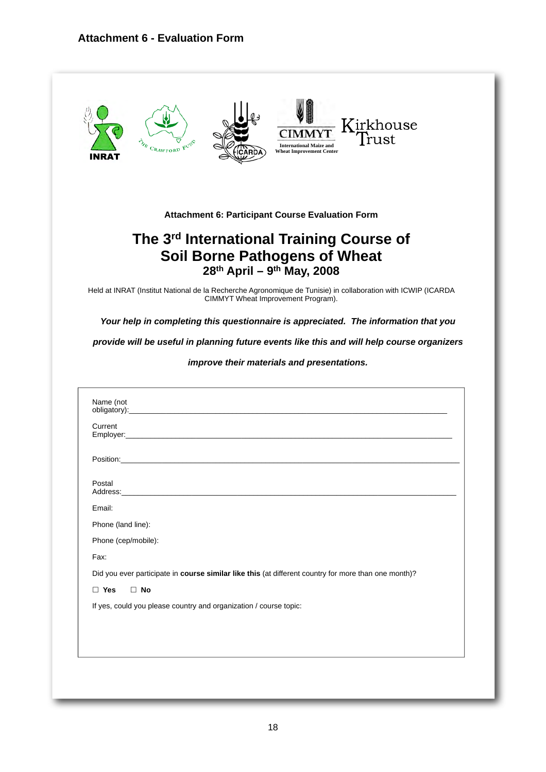<span id="page-19-0"></span>![](_page_19_Picture_1.jpeg)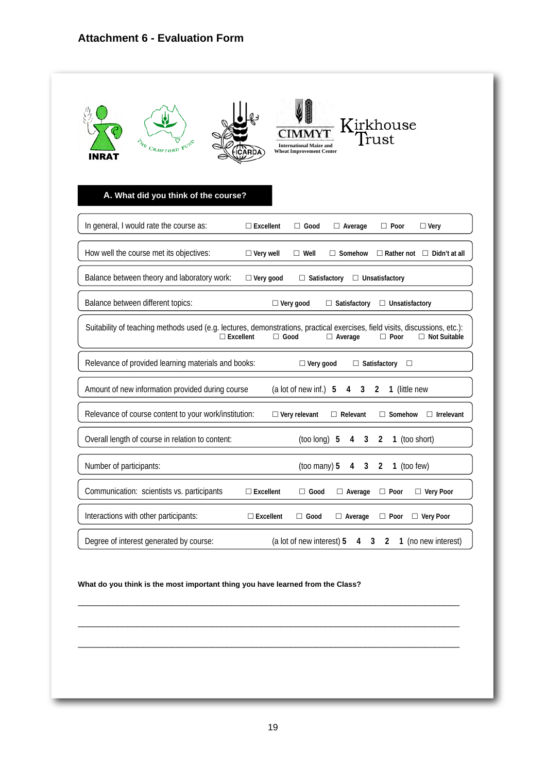| CRAWFORD<br>INRAT                                                                                                           | A. What did you think of the course? |                     | <b>International Maize and</b><br><b>Wheat Improvement Center</b> |                                   | Kirkhouse<br>Trust            |                                        |
|-----------------------------------------------------------------------------------------------------------------------------|--------------------------------------|---------------------|-------------------------------------------------------------------|-----------------------------------|-------------------------------|----------------------------------------|
| In general, I would rate the course as:                                                                                     |                                      | $\Box$ Excellent    | $\Box$ Good                                                       | $\Box$ Average                    | $\Box$ Poor                   | $\Box$ Very                            |
| How well the course met its objectives:                                                                                     |                                      | $\Box$ Very well    | $\Box$ Well                                                       | $\Box$ Somehow                    |                               | $\Box$ Rather not $\Box$ Didn't at all |
| Balance between theory and laboratory work:                                                                                 |                                      | $\Box$ Very good    | $\Box$ Satisfactory                                               |                                   | □ Unsatisfactory              |                                        |
| Balance between different topics:                                                                                           |                                      |                     | $\Box$ Very good                                                  | $\Box$ Satisfactory               | $\Box$ Unsatisfactory         |                                        |
| Suitability of teaching methods used (e.g. lectures, demonstrations, practical exercises, field visits, discussions, etc.): | $\Box$ Excellent                     | $\Box$ Good         |                                                                   | $\Box$ Average                    | $\Box$ Poor                   | $\Box$ Not Suitable                    |
| Relevance of provided learning materials and books:                                                                         |                                      |                     | $\Box$ Very good                                                  |                                   | $\Box$ Satisfactory<br>$\Box$ |                                        |
| Amount of new information provided during course                                                                            |                                      |                     | (a lot of new inf.) 5                                             | 4 3                               | 1 (little new<br>2            |                                        |
| Relevance of course content to your work/institution:                                                                       |                                      |                     | $\Box$ Very relevant                                              | $\Box$ Relevant                   | $\Box$ Somehow                | $\Box$ Irrelevant                      |
| Overall length of course in relation to content:                                                                            |                                      |                     | (too long) 5                                                      | $4\overline{ }$<br>3 <sup>7</sup> | 1 (too short)<br>2            |                                        |
| Number of participants:                                                                                                     |                                      |                     | (too many) 5                                                      | 3 <sup>7</sup><br>4               | 2<br>1 (too few)              |                                        |
| Communication: scientists vs. participants                                                                                  |                                      | $\square$ Excellent | $\Box$ Good                                                       | $\Box$ Average                    | $\Box$ Poor                   | $\Box$ Very Poor                       |
| Interactions with other participants:                                                                                       |                                      | $\square$ Excellent | $\Box$ Good                                                       | $\Box$ Average                    | $\Box$ Poor                   | $\Box$ Very Poor                       |
|                                                                                                                             |                                      |                     |                                                                   |                                   |                               |                                        |

#### **What do you think is the most important thing you have learned from the Class?**

\_\_\_\_\_\_\_\_\_\_\_\_\_\_\_\_\_\_\_\_\_\_\_\_\_\_\_\_\_\_\_\_\_\_\_\_\_\_\_\_\_\_\_\_\_\_\_\_\_\_\_\_\_\_\_\_\_\_\_\_\_\_\_\_\_\_\_\_\_\_\_\_\_\_\_\_\_

\_\_\_\_\_\_\_\_\_\_\_\_\_\_\_\_\_\_\_\_\_\_\_\_\_\_\_\_\_\_\_\_\_\_\_\_\_\_\_\_\_\_\_\_\_\_\_\_\_\_\_\_\_\_\_\_\_\_\_\_\_\_\_\_\_\_\_\_\_\_\_\_\_\_\_\_\_

\_\_\_\_\_\_\_\_\_\_\_\_\_\_\_\_\_\_\_\_\_\_\_\_\_\_\_\_\_\_\_\_\_\_\_\_\_\_\_\_\_\_\_\_\_\_\_\_\_\_\_\_\_\_\_\_\_\_\_\_\_\_\_\_\_\_\_\_\_\_\_\_\_\_\_\_\_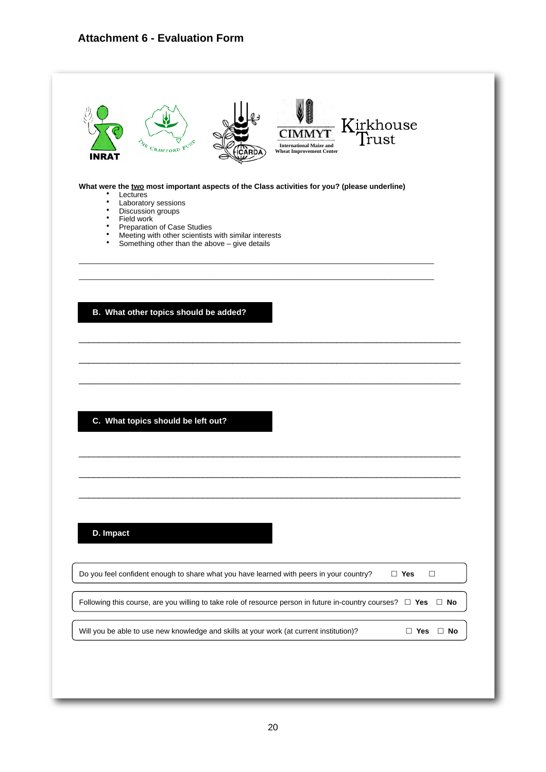# **Attachment 6 - Evaluation Form**

| INRAT                                                      | THE CRAWFORD FUND                                                                                                                                                                                                                                                                                          | <b>International Maize and</b><br><b>Wheat Improvement Center</b> | Kirkhouse<br>Trust |                         |           |
|------------------------------------------------------------|------------------------------------------------------------------------------------------------------------------------------------------------------------------------------------------------------------------------------------------------------------------------------------------------------------|-------------------------------------------------------------------|--------------------|-------------------------|-----------|
| ٠<br>٠<br>$\bullet$<br>$\bullet$<br>$\bullet$<br>$\bullet$ | What were the two most important aspects of the Class activities for you? (please underline)<br>Lectures<br>Laboratory sessions<br>Discussion groups<br>Field work<br>Preparation of Case Studies<br>Meeting with other scientists with similar interests<br>Something other than the above - give details |                                                                   |                    |                         |           |
|                                                            | B. What other topics should be added?                                                                                                                                                                                                                                                                      |                                                                   |                    |                         |           |
|                                                            |                                                                                                                                                                                                                                                                                                            |                                                                   |                    |                         |           |
|                                                            | C. What topics should be left out?                                                                                                                                                                                                                                                                         |                                                                   |                    |                         |           |
|                                                            |                                                                                                                                                                                                                                                                                                            |                                                                   |                    |                         |           |
| D. Impact                                                  | Do you feel confident enough to share what you have learned with peers in your country?                                                                                                                                                                                                                    |                                                                   |                    | $\square$ Yes<br>$\Box$ |           |
|                                                            | Following this course, are you willing to take role of resource person in future in-country courses? $\Box$ Yes                                                                                                                                                                                            |                                                                   |                    |                         | $\Box$ No |
|                                                            |                                                                                                                                                                                                                                                                                                            |                                                                   |                    |                         |           |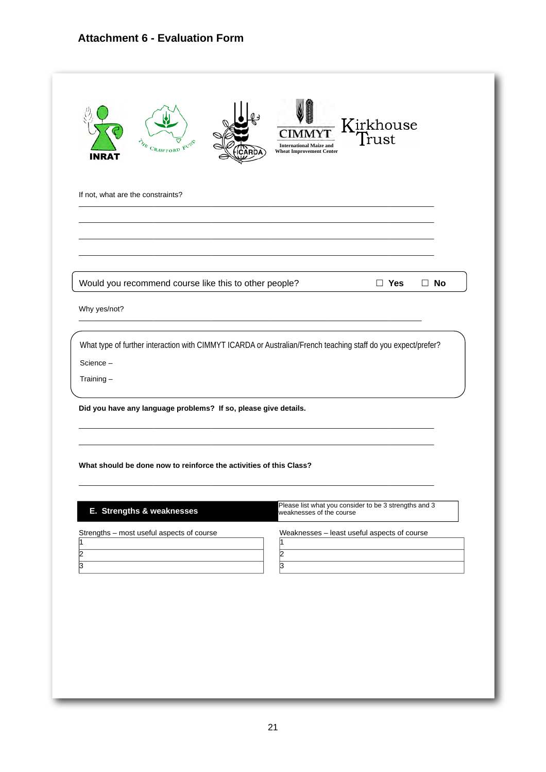# **Attachment 6 - Evaluation Form**

| THE CRAWFORD FUND<br>INRAT                                                                                                | <b>International Maize and</b><br><b>Wheat Improvement Center</b><br>RDA | Kirkhouse<br>rust                                     |  |
|---------------------------------------------------------------------------------------------------------------------------|--------------------------------------------------------------------------|-------------------------------------------------------|--|
| If not, what are the constraints?                                                                                         |                                                                          |                                                       |  |
|                                                                                                                           |                                                                          |                                                       |  |
| Would you recommend course like this to other people?                                                                     |                                                                          | $\Box$ Yes<br>$\Box$ No                               |  |
| Why yes/not?                                                                                                              |                                                                          |                                                       |  |
| What type of further interaction with CIMMYT ICARDA or Australian/French teaching staff do you expect/prefer?<br>Science- |                                                                          |                                                       |  |
| Training-                                                                                                                 |                                                                          |                                                       |  |
| Did you have any language problems? If so, please give details.                                                           |                                                                          |                                                       |  |
| What should be done now to reinforce the activities of this Class?                                                        |                                                                          |                                                       |  |
| E. Strengths & weaknesses                                                                                                 | weaknesses of the course                                                 | Please list what you consider to be 3 strengths and 3 |  |
| Strengths - most useful aspects of course<br>11<br>2                                                                      | 1<br>$\overline{2}$                                                      | Weaknesses - least useful aspects of course           |  |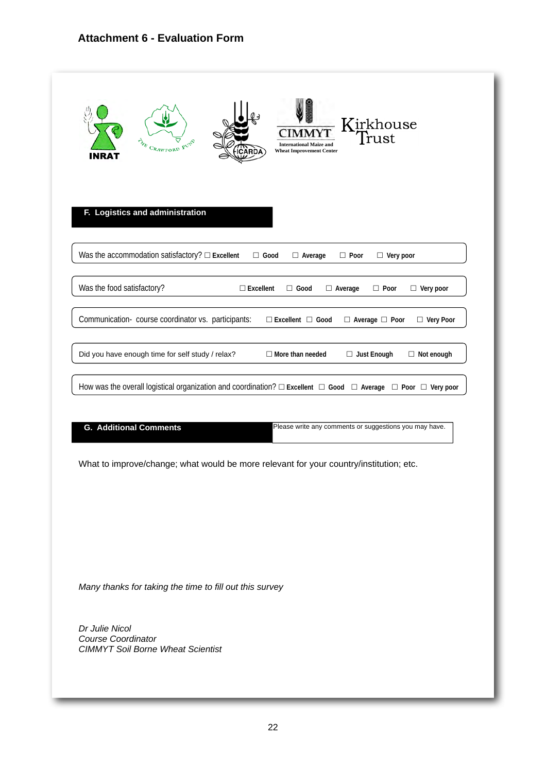#### **Attachment 6 - Evaluation Form**

| INRAT                      | Kirkhouse<br>Trust<br>FUND<br><b>International Maize and</b><br>$C_{RAWFORD}$<br><b>Wheat Improvement Center</b><br>ARDA                                       |
|----------------------------|----------------------------------------------------------------------------------------------------------------------------------------------------------------|
|                            | F. Logistics and administration<br>Was the accommodation satisfactory? $\square$ Excellent<br>$\Box$ Good<br>$\Box$ Average<br>$\Box$ Poor<br>$\Box$ Very poor |
| Was the food satisfactory? | $\square$ Excellent<br>$\Box$ Good<br>$\Box$ Poor<br>$\Box$ Very poor<br>$\Box$ Average                                                                        |
|                            | Communication- course coordinator vs. participants:<br>$\Box$ Excellent $\Box$ Good<br>$\Box$ Average $\Box$ Poor<br>$\Box$ Very Poor                          |
|                            |                                                                                                                                                                |
|                            | Did you have enough time for self study / relax?<br>$\Box$ More than needed<br>$\Box$ Just Enough<br>$\Box$ Not enough                                         |
|                            | How was the overall logistical organization and coordination? $\Box$ Excellent $\Box$ Good $\Box$ Average $\Box$ Poor $\Box$ Very poor                         |

What to improve/change; what would be more relevant for your country/institution; etc.

*Many thanks for taking the time to fill out this survey*

*Dr Julie Nicol Course Coordinator CIMMYT Soil Borne Wheat Scientist*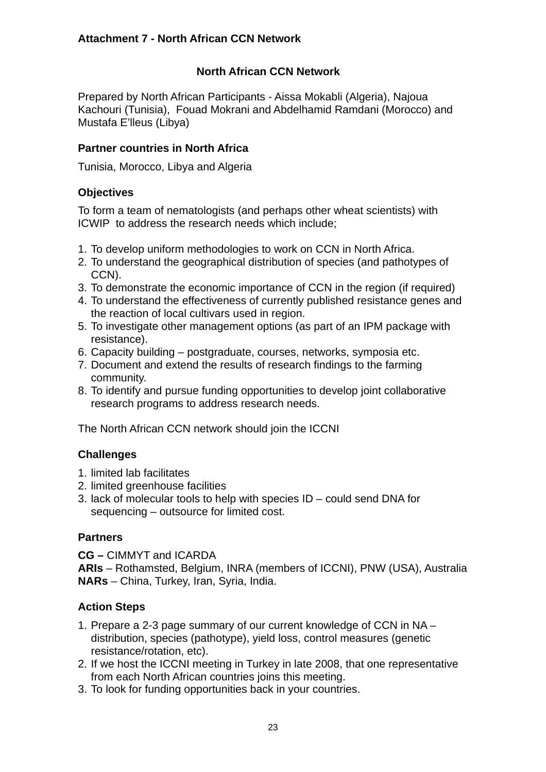# **North African CCN Network**

<span id="page-24-0"></span>Prepared by North African Participants - Aissa Mokabli (Algeria), Najoua Kachouri (Tunisia), Fouad Mokrani and Abdelhamid Ramdani (Morocco) and Mustafa E'lleus (Libya)

## **Partner countries in North Africa**

Tunisia, Morocco, Libya and Algeria

#### **Objectives**

To form a team of nematologists (and perhaps other wheat scientists) with ICWIP to address the research needs which include;

- 1. To develop uniform methodologies to work on CCN in North Africa.
- 2. To understand the geographical distribution of species (and pathotypes of CCN).
- 3. To demonstrate the economic importance of CCN in the region (if required)
- 4. To understand the effectiveness of currently published resistance genes and the reaction of local cultivars used in region.
- 5. To investigate other management options (as part of an IPM package with resistance).
- 6. Capacity building postgraduate, courses, networks, symposia etc.
- 7. Document and extend the results of research findings to the farming community.
- 8. To identify and pursue funding opportunities to develop joint collaborative research programs to address research needs.

The North African CCN network should join the ICCNI

# **Challenges**

- 1. limited lab facilitates
- 2. limited greenhouse facilities
- 3. lack of molecular tools to help with species ID could send DNA for sequencing – outsource for limited cost.

# **Partners**

**CG –** CIMMYT and ICARDA

**ARIs** – Rothamsted, Belgium, INRA (members of ICCNI), PNW (USA), Australia **NARs** – China, Turkey, Iran, Syria, India.

#### **Action Steps**

- 1. Prepare a 2-3 page summary of our current knowledge of CCN in NA distribution, species (pathotype), yield loss, control measures (genetic resistance/rotation, etc).
- 2. If we host the ICCNI meeting in Turkey in late 2008, that one representative from each North African countries joins this meeting.
- 3. To look for funding opportunities back in your countries.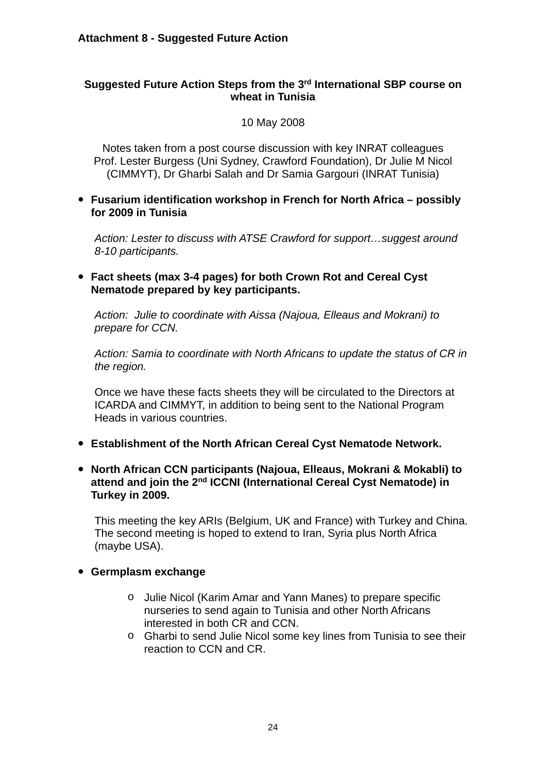#### <span id="page-25-0"></span>**Suggested Future Action Steps from the 3rd International SBP course on wheat in Tunisia**

10 May 2008

Notes taken from a post course discussion with key INRAT colleagues Prof. Lester Burgess (Uni Sydney, Crawford Foundation), Dr Julie M Nicol (CIMMYT), Dr Gharbi Salah and Dr Samia Gargouri (INRAT Tunisia)

• **Fusarium identification workshop in French for North Africa – possibly for 2009 in Tunisia**

*Action: Lester to discuss with ATSE Crawford for support…suggest around 8-10 participants.*

• **Fact sheets (max 3-4 pages) for both Crown Rot and Cereal Cyst Nematode prepared by key participants.**

*Action: Julie to coordinate with Aissa (Najoua, Elleaus and Mokrani) to prepare for CCN.*

*Action: Samia to coordinate with North Africans to update the status of CR in the region.*

Once we have these facts sheets they will be circulated to the Directors at ICARDA and CIMMYT, in addition to being sent to the National Program Heads in various countries.

- **Establishment of the North African Cereal Cyst Nematode Network.**
- **North African CCN participants (Najoua, Elleaus, Mokrani & Mokabli) to attend and join the 2nd ICCNI (International Cereal Cyst Nematode) in Turkey in 2009.**

This meeting the key ARIs (Belgium, UK and France) with Turkey and China. The second meeting is hoped to extend to Iran, Syria plus North Africa (maybe USA).

#### • **Germplasm exchange**

- o Julie Nicol (Karim Amar and Yann Manes) to prepare specific nurseries to send again to Tunisia and other North Africans interested in both CR and CCN.
- o Gharbi to send Julie Nicol some key lines from Tunisia to see their reaction to CCN and CR.